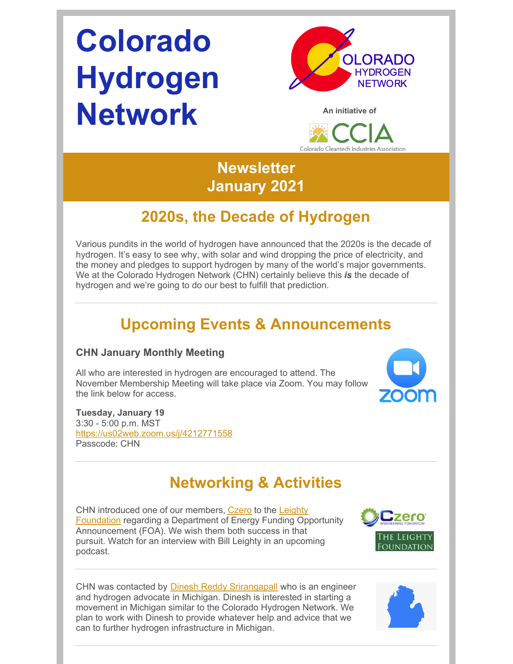# **Colorado Hydrogen Network**





## **Newsletter January 2021**

## **2020s, the Decade of Hydrogen**

Various pundits in the world of hydrogen have announced that the 2020s is the decade of hydrogen. It's easy to see why, with solar and wind dropping the price of electricity, and the money and pledges to support hydrogen by many of the world's major governments. We at the Colorado Hydrogen Network (CHN) certainly believe this *is* the decade of hydrogen and we're going to do our best to fulfill that prediction.

## **Upcoming Events & Announcements**

#### **CHN January Monthly Meeting**

All who are interested in hydrogen are encouraged to attend. The November Membership Meeting will take place via Zoom. You may follow the link below for access.



#### **Tuesday, January 19** 3:30 - 5:00 p.m. MST [https://us02web.zoom.us/j/4212771558](https://www.google.com/url?q=https://us02web.zoom.us/j/4212771558&sa=D&source=calendar&usd=2&usg=AOvVaw20lBg_0L9sCKGAdr6GIcBX) Passcode: CHN

# **Networking & Activities**

CHN introduced one of our members, [Czero](https://czero-solutions.com/) to the Leighty Foundation regarding a [Department](http://www.leightyfoundation.org/) of Energy Funding Opportunity Announcement (FOA). We wish them both success in that pursuit. Watch for an interview with Bill Leighty in an upcoming podcast.



CHN was contacted by Dinesh Reddy [Srirangapall](https://www.linkedin.com/in/dineshreddysrirangapalle/) who is an engineer and hydrogen advocate in Michigan. Dinesh is interested in starting a movement in Michigan similar to the Colorado Hydrogen Network. We plan to work with Dinesh to provide whatever help and advice that we can to further hydrogen infrastructure in Michigan.

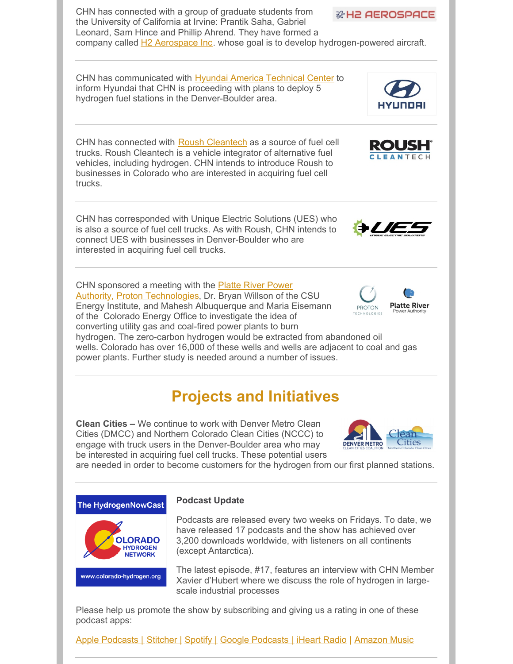

Please help us promote the show by subscribing and giving us a rating in one of these podcast apps:

Apple [Podcasts](https://podcasts.apple.com/us/podcast/hydrogennowcast/id1515826648) | [Stitcher](https://www.stitcher.com/s?fid=540617&refid=stpr) | [Spotify](https://open.spotify.com/show/0XkWjfWalLRK7Cd59w6vmU) | Google [Podcasts](https://podcasts.google.com/?feed=aHR0cHM6Ly9mZWVkcy5idXp6c3Byb3V0LmNvbS8xMTE3OTAxLnJzcw) | [iHeart](https://www.iheart.com/podcast/269-hydrogennowcast-65253432/) Radio | [Amazon](https://music.amazon.com/podcasts/2cb94f7c-0b7f-4040-b9ab-437736400075/HydrogenNowCast) Music